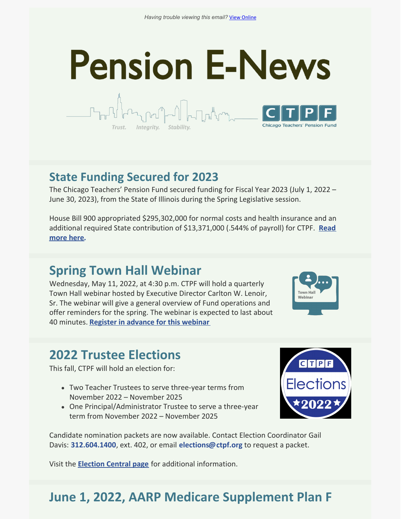# **Pension E-News Chicago Teachers' Pension Fund**

#### **State Funding Secured for 2023**

Intearity.

The Chicago Teachers' Pension Fund secured funding for Fiscal Year 2023 (July 1, 2022 – June 30, 2023), from the State of Illinois during the Spring Legislative session.

House Bill 900 appropriated \$295,302,000 for normal costs and health insurance and an additional required State contribution of [\\$13,371,000](https://ctpf.org/news/state-funding-secured-2023) (.544% of payroll) for CTPF. **Read more here.**

# **Spring Town Hall Webinar**

Wednesday, May 11, 2022, at 4:30 p.m. CTPF will hold a quarterly Town Hall webinar hosted by Executive Director Carlton W. Lenoir, Sr. The webinar will give a general overview of Fund operations and offer reminders for the spring. The webinar is expected to last about 40 minutes. **Register in [advance](https://ctpf.zoom.us/webinar/register/WN_ES8Ey04ZSWmb9K7yfUFRNg) for this webinar**



# **2022 Trustee Elections**

This fall, CTPF will hold an election for:

- Two Teacher Trustees to serve three-year terms from November 2022 – November 2025
- One Principal/Administrator Trustee to serve a three-year term from November 2022 – November 2025



Candidate nomination packets are now available. Contact Election Coordinator Gail Davis: **[312.604.1400](tel:312.604.1400)**, ext. 402, or email **[elections@ctpf.org](mailto:elections@ctpf.org)** to request a packet.

Visit the **[Election](https://ctpf.org/about-ctpf/election-central-2022) Central pag[e](https://ctpf.org/2020-election-central)** for additional information.

# **June 1, 2022, AARP Medicare Supplement Plan F**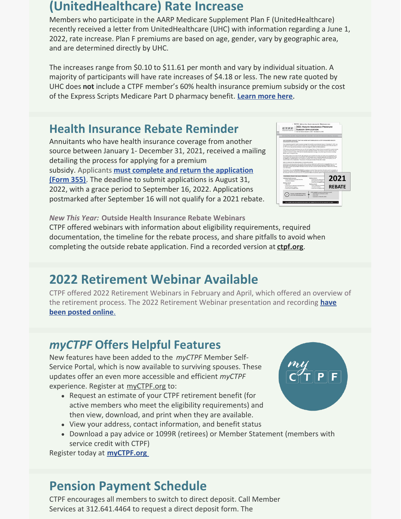#### **(UnitedHealthcare) Rate Increase**

Members who participate in the AARP Medicare Supplement Plan F (UnitedHealthcare) recently received a letter from UnitedHealthcare (UHC) with information regarding a June 1, 2022, rate increase. Plan F premiums are based on age, gender, vary by geographic area, and are determined directly by UHC.

The increases range from \$0.10 to \$11.61 per month and vary by individual situation. A majority of participants will have rate increases of \$4.18 or less. The new rate quoted by UHC does **not** include a CTPF member's 60% health insurance premium subsidy or the cost of the Express Scripts Medicare Part D pharmacy benefit. **[Learn](https://ctpf.org/news/june-1-2022-aarp-medicare-supplement-plan-f-unitedhealthcare-rate-increase) more here**.

#### **Health Insurance Rebate Reminder**

Annuitants who have health insurance coverage from another source between January 1- December 31, 2021, received a mailing detailing the process for applying for a premium subsidy. Applicants **must complete and return the [application](https://ctpf.org/sites/files/2022-03/2021_REBATE_Subsidy Application_vk3_FINAL.pdf) (Form 355)**. The deadline to submit applications is August 31, 2022, with a grace period to September 16, 2022. Applications postmarked after September 16 will not qualify for a 2021 rebate.



*New This Year:* **Outside Health Insurance Rebate Webinars** CTPF offered webinars with information about eligibility requirements, required documentation, the timeline for the rebate process, and share pitfalls to avoid when completing the outside rebate application. Find a recorded version at **[ctpf.org](https://ctpf.org/)**.

# **2022 Retirement Webinar Available**

CTPF offered 2022 Retirement Webinars in February and April, which offered an overview of the retirement process. The 2022 Retirement Webinar [presentation](https://www.ctpf.org/member-resources/active-members/retirement-application) and recording **have been posted online**[.](https://www.ctpf.org/member-resources/active-members/retirement-application)

## *myCTPF* **Offers Helpful Features**

New features have been added to the *myCTPF* Member Self-Service Portal, which is now available to surviving spouses. These updates offer an even more accessible and efficient *myCTPF* experience. Register at [myCTPF.org](http://myctpf.org) to:

- Request an estimate of your CTPF retirement benefit (for active members who meet the eligibility requirements) and then view, download, and print when they are available.
- View your address, contact information, and benefit status
- Download a pay advice or 1099R (retirees) or Member Statement (members with service credit with CTPF)

Register today at **[myCTPF.org](http://myctpf.org)**

# **Pension Payment Schedule**

CTPF encourages all members to switch to direct deposit. Call Member Services at 312.641.4464 to request a direct deposit form. The

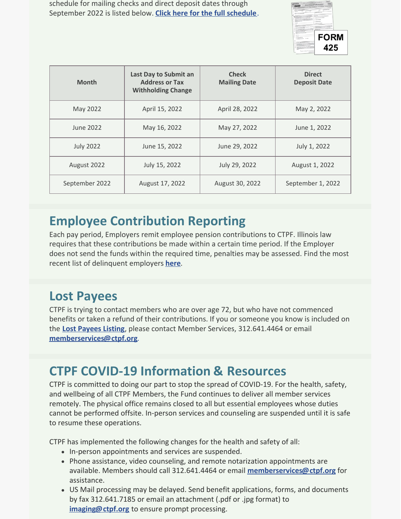schedule for mailing checks and direct deposit dates through September 2022 is listed below. **Click here for the full [schedule](https://www.ctpf.org/member-resources/retired-members/pension-payments)**.



| <b>Month</b>     | Last Day to Submit an<br><b>Address or Tax</b><br><b>Withholding Change</b> | <b>Check</b><br><b>Mailing Date</b> | <b>Direct</b><br><b>Deposit Date</b> |
|------------------|-----------------------------------------------------------------------------|-------------------------------------|--------------------------------------|
| May 2022         | April 15, 2022                                                              | April 28, 2022                      | May 2, 2022                          |
| June 2022        | May 16, 2022                                                                | May 27, 2022                        | June 1, 2022                         |
| <b>July 2022</b> | June 15, 2022                                                               | June 29, 2022                       | July 1, 2022                         |
| August 2022      | July 15, 2022                                                               | July 29, 2022                       | August 1, 2022                       |
| September 2022   | August 17, 2022                                                             | August 30, 2022                     | September 1, 2022                    |

# **Employee Contribution Reporting**

Each pay period, Employers remit employee pension contributions to CTPF. Illinois law requires that these contributions be made within a certain time period. If the Employer does not send the funds within the required time, penalties may be assessed. Find the most recent list of delinquent employers **[here](https://ctpf.org/employer-contribution-reporting)**.

## **Lost Payees**

CTPF is trying to contact members who are over age 72, but who have not commenced benefits or taken a refund of their contributions. If you or someone you know is included on the **Lost [Payees](https://www.ctpf.org/sites/files/2020-10/lost_payees_last_school_worked_website_list_2.pdf) Listing**, please contact Member Services, 312.641.4464 or email **[memberservices@ctpf.org](mailto:memberservices@ctpf.org)**.

# **CTPF COVID-19 Information & Resources**

CTPF is committed to doing our part to stop the spread of COVID-19. For the health, safety, and wellbeing of all CTPF Members, the Fund continues to deliver all member services remotely. The physical office remains closed to all but essential employees whose duties cannot be performed offsite. In-person services and counseling are suspended until it is safe to resume these operations.

CTPF has implemented the following changes for the health and safety of all:

- In-person appointments and services are suspended.
- Phone assistance, video counseling, and remote notarization appointments are available. Members should call 312.641.4464 or email **[memberservices@ctpf.org](mailto:memberservices@ctpf.org)** for assistance.
- US Mail processing may be delayed. Send benefit applications, forms, and documents by fax 312.641.7185 or email an attachment (.pdf or .jpg format) to **[imaging@ctpf.org](mailto:imaging@ctpf.org)** to ensure prompt processing.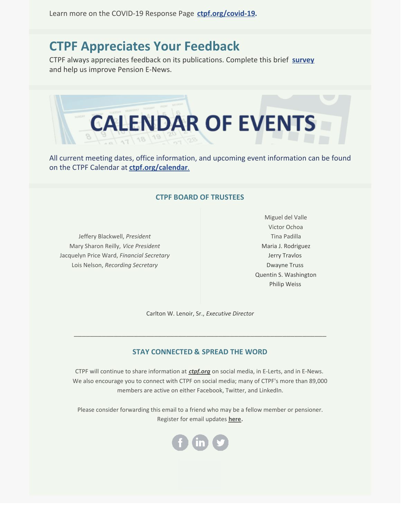#### **CTPF Appreciates Your Feedback**

CTPF always appreciates feedback on its publications. Complete this brief **[survey](https://lp.constantcontactpages.com/sv/huLNgUU/ctpfsurvey?source_id=47b85e6e-2a15-4b62-9064-f82c85d2e1ac&source_type=em&c=)** and help us improve Pension E-News.



All current meeting dates, office information, and upcoming event information can be found on the CTPF Calendar at **[ctpf.org/calendar](https://ctpf.org/news-calendar/calendar)**[.](https://ctpf.org/news-calendar/calendar)

#### **CTPF BOARD OF TRUSTEES**

Jeffery Blackwell, *President* Mary Sharon Reilly, *Vice President* Jacquelyn Price Ward, *Financial Secretary* Lois Nelson, *Recording Secretary*

Miguel del Valle Victor Ochoa Tina Padilla Maria J. Rodriguez Jerry Travlos Dwayne Truss Quentin S. Washington Philip Weiss

Carlton W. Lenoir, Sr., *Executive Director*

\_\_\_\_\_\_\_\_\_\_\_\_\_\_\_\_\_\_\_\_\_\_\_\_\_\_\_\_\_\_\_\_\_\_\_\_\_\_\_\_\_\_\_\_\_\_\_\_\_\_\_\_\_\_\_\_\_\_\_\_\_\_\_

#### **STAY CONNECTED & SPREAD THE WORD**

CTPF will continue to share information at *[ctpf.org](https://nam11.safelinks.protection.outlook.com/?url=http%3A%2F%2Fr20.rs6.net%2Ftn.jsp%3Ff%3D001Oq0TM6CVsKr16mBIJWQ5Txgxq1D0DQ71XepjiVhvp5Bdir-9OjtYv4LvxhiMPX2GMPhwQfjmGHSdxSfrYvZaxDcty5YgMIa2e4clI6Ts6waNsooyMHn65iLHXWPKwOOd30ezxEKSRSqFlYqdRQfouIjIJQZcg43n%26c%3DrrHtvthGwuyW-ZAKLc0ZJMgKnz-9DQ4rvOuN8tBf3R8ihnUal54aXQ%3D%3D%26ch%3DsUd1tqkBvQncZr6j3v8_KZ5FYGxfMqIG7_Uzp-Y8v0_abEJ6gyT9OQ%3D%3D&data=04%7C01%7Ckaisere%40ctpf.org%7Ca8d8058eb5784c1d00c408d97862b086%7Ca881b9a43fe041eb97266e31ebe4d79e%7C1%7C1%7C637673187538378334%7CUnknown%7CTWFpbGZsb3d8eyJWIjoiMC4wLjAwMDAiLCJQIjoiV2luMzIiLCJBTiI6Ik1haWwiLCJXVCI6Mn0%3D%7C2000&sdata=ZcVOMCBM0BfT2fvi6WFD2bOfU%2FDpDXFwLKqUbjlrJRI%3D&reserved=0)* on social media, in E-Lerts, and in E-News. We also encourage you to connect with CTPF on social media; many of CTPF's more than 89,000 members are active on either Facebook, Twitter, and LinkedIn.

Please consider forwarding this email to a friend who may be a fellow member or pensioner. Register for email updates **[here](https://nam11.safelinks.protection.outlook.com/?url=http%3A%2F%2Fr20.rs6.net%2Ftn.jsp%3Ff%3D001Oq0TM6CVsKr16mBIJWQ5Txgxq1D0DQ71XepjiVhvp5Bdir-9OjtYv2alLWRjItSi41VOVQYLBbbOx2uSotrg_jsUewXaontdBcCweMzZygP9UW20T1cB8I1Rst8sHfd-uuqzKP5Qb8vmEYpFv8RFdtoJb4huFB7xnhLlHOpsZRE%3D%26c%3DrrHtvthGwuyW-ZAKLc0ZJMgKnz-9DQ4rvOuN8tBf3R8ihnUal54aXQ%3D%3D%26ch%3DsUd1tqkBvQncZr6j3v8_KZ5FYGxfMqIG7_Uzp-Y8v0_abEJ6gyT9OQ%3D%3D&data=04%7C01%7Ckaisere%40ctpf.org%7Ca8d8058eb5784c1d00c408d97862b086%7Ca881b9a43fe041eb97266e31ebe4d79e%7C1%7C1%7C637673187538378334%7CUnknown%7CTWFpbGZsb3d8eyJWIjoiMC4wLjAwMDAiLCJQIjoiV2luMzIiLCJBTiI6Ik1haWwiLCJXVCI6Mn0%3D%7C2000&sdata=JBOfYXXj9egz1TwwWTdZpw3RG4ySDStWzjkXE1gfoaM%3D&reserved=0)**.